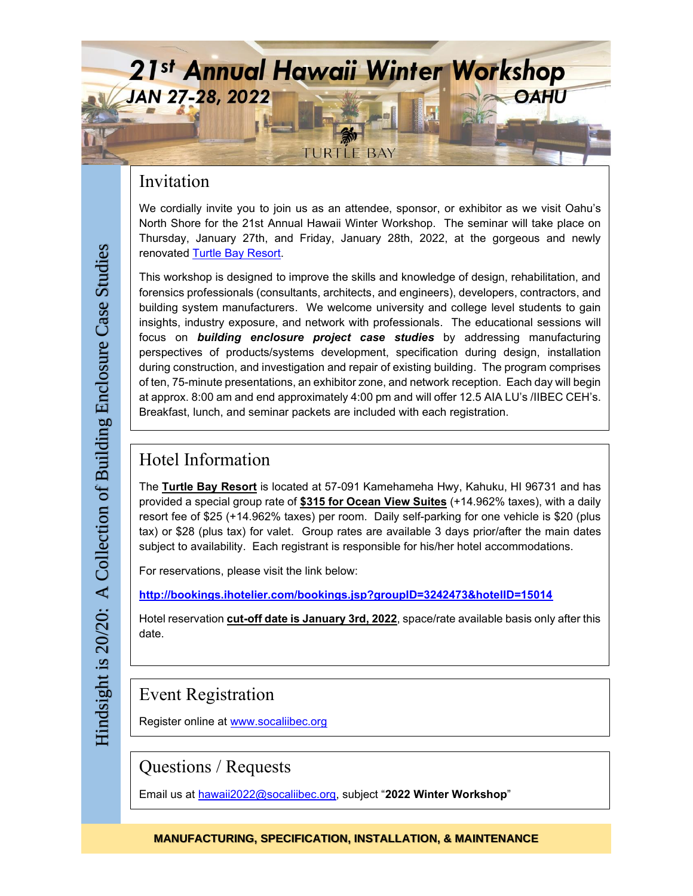

### Invitation

We cordially invite you to join us as an attendee, sponsor, or exhibitor as we visit Oahu's North Shore for the 21st Annual Hawaii Winter Workshop. The seminar will take place on Thursday, January 27th, and Friday, January 28th, 2022, at the gorgeous and newly renovated [Turtle Bay](https://www.turtlebayresort.com/) Resort.

This workshop is designed to improve the skills and knowledge of design, rehabilitation, and forensics professionals (consultants, architects, and engineers), developers, contractors, and building system manufacturers. We welcome university and college level students to gain insights, industry exposure, and network with professionals. The educational sessions will focus on *building enclosure project case studies* by addressing manufacturing perspectives of products/systems development, specification during design, installation during construction, and investigation and repair of existing building. The program comprises of ten, 75-minute presentations, an exhibitor zone, and network reception. Each day will begin at approx. 8:00 am and end approximately 4:00 pm and will offer 12.5 AIA LU's /IIBEC CEH's. Breakfast, lunch, and seminar packets are included with each registration.

### Hotel Information

The **Turtle Bay Resort** is located at 57-091 Kamehameha Hwy, Kahuku, HI 96731 and has provided a special group rate of **\$315 for Ocean View Suites** (+14.962% taxes), with a daily resort fee of \$25 (+14.962% taxes) per room. Daily self-parking for one vehicle is \$20 (plus tax) or \$28 (plus tax) for valet. Group rates are available 3 days prior/after the main dates subject to availability. Each registrant is responsible for his/her hotel accommodations.

For reservations, please visit the link below:

**<http://bookings.ihotelier.com/bookings.jsp?groupID=3242473&hotelID=15014>**

Hotel reservation **cut-off date is January 3rd, 2022**, space/rate available basis only after this date.

## Event Registration

Register online at [www.socaliibec.org](http://www.socaliibec.org/)

Questions / Requests

Email us at [hawaii2022@socaliibec.org,](mailto:hawaii2022@socaliibec.org) subject "**2022 Winter Workshop**"